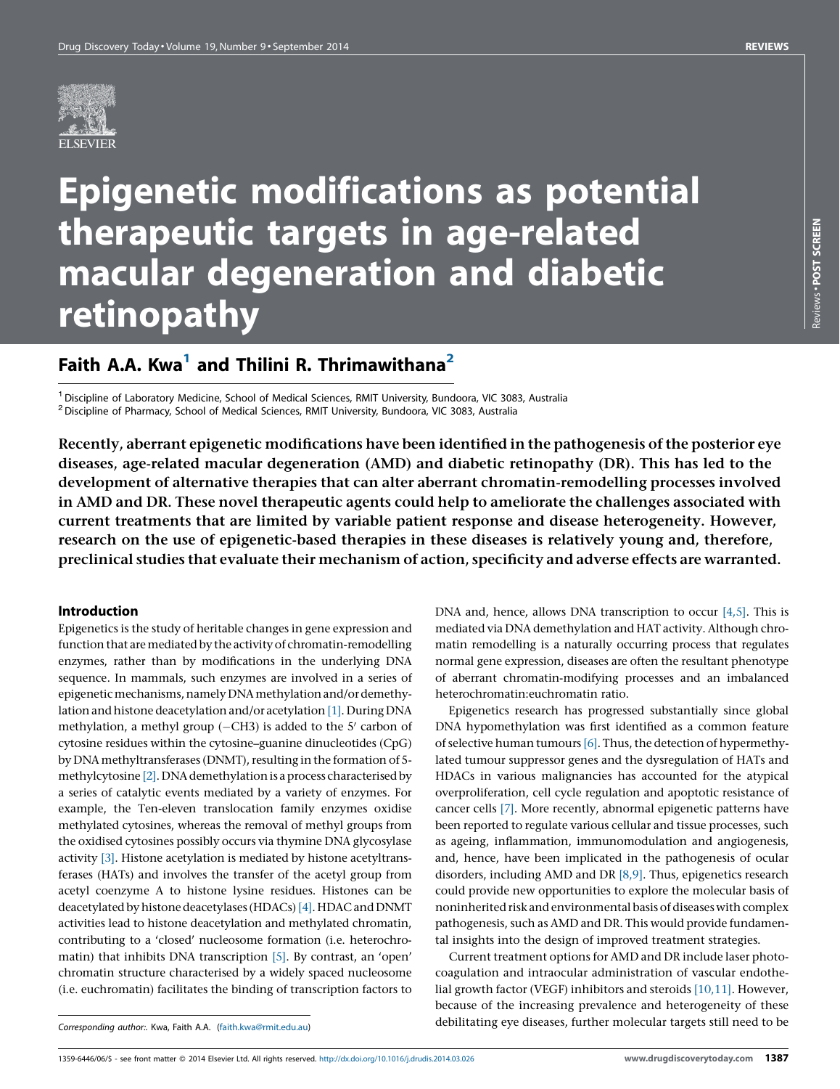

# Epigenetic modifications as potential therapeutic targets in age-related macular degeneration and diabetic retinopathy

# Faith A.A. Kwa<sup>1</sup> and Thilini R. Thrimawithana<sup>2</sup>

<sup>1</sup> Discipline of Laboratory Medicine, School of Medical Sciences, RMIT University, Bundoora, VIC 3083, Australia  $^2$  Discipline of Pharmacy, School of Medical Sciences, RMIT University, Bundoora, VIC 3083, Australia

Recently, aberrant epigenetic modifications have been identified in the pathogenesis of the posterior eye diseases, age-related macular degeneration (AMD) and diabetic retinopathy (DR). This has led to the development of alternative therapies that can alter aberrant chromatin-remodelling processes involved in AMD and DR. These novel therapeutic agents could help to ameliorate the challenges associated with current treatments that are limited by variable patient response and disease heterogeneity. However, research on the use of epigenetic-based therapies in these diseases is relatively young and, therefore, preclinical studies that evaluate their mechanism of action, specificity and adverse effects are warranted.

# Introduction

Epigenetics is the study of heritable changes in gene expression and function that are mediated by the activity of chromatin-remodelling enzymes, rather than by modifications in the underlying DNA sequence. In mammals, such enzymes are involved in a series of epigenetic mechanisms, namely DNA methylation and/or demethy-lation and histone deacetylation and/or acetylation [\[1\].](#page-5-0) During DNA methylation, a methyl group  $(-CH3)$  is added to the 5' carbon of cytosine residues within the cytosine–guanine dinucleotides (CpG) by DNA methyltransferases (DNMT), resulting in the formation of 5-methylcytosine [\[2\]](#page-5-0). DNA demethylation is a process characterised by a series of catalytic events mediated by a variety of enzymes. For example, the Ten-eleven translocation family enzymes oxidise methylated cytosines, whereas the removal of methyl groups from the oxidised cytosines possibly occurs via thymine DNA glycosylase activity [\[3\].](#page-5-0) Histone acetylation is mediated by histone acetyltransferases (HATs) and involves the transfer of the acetyl group from acetyl coenzyme A to histone lysine residues. Histones can be deacetylated by histone deacetylases (HDACs) [\[4\].](#page-5-0) HDAC and DNMT activities lead to histone deacetylation and methylated chromatin, contributing to a 'closed' nucleosome formation (i.e. heterochromatin) that inhibits DNA transcription [\[5\].](#page-5-0) By contrast, an 'open' chromatin structure characterised by a widely spaced nucleosome (i.e. euchromatin) facilitates the binding of transcription factors to

DNA and, hence, allows DNA transcription to occur [\[4,5\]](#page-5-0). This is mediated via DNA demethylation and HAT activity. Although chromatin remodelling is a naturally occurring process that regulates normal gene expression, diseases are often the resultant phenotype of aberrant chromatin-modifying processes and an imbalanced heterochromatin:euchromatin ratio.

Epigenetics research has progressed substantially since global DNA hypomethylation was first identified as a common feature of selective human tumours  $[6]$ . Thus, the detection of hypermethylated tumour suppressor genes and the dysregulation of HATs and HDACs in various malignancies has accounted for the atypical overproliferation, cell cycle regulation and apoptotic resistance of cancer cells [\[7\]](#page-5-0). More recently, abnormal epigenetic patterns have been reported to regulate various cellular and tissue processes, such as ageing, inflammation, immunomodulation and angiogenesis, and, hence, have been implicated in the pathogenesis of ocular disorders, including AMD and DR [\[8,9\].](#page-5-0) Thus, epigenetics research could provide new opportunities to explore the molecular basis of noninherited risk and environmental basis of diseases with complex pathogenesis, such as AMD and DR. This would provide fundamental insights into the design of improved treatment strategies.

Current treatment options for AMD and DR include laser photocoagulation and intraocular administration of vascular endothelial growth factor (VEGF) inhibitors and steroids [\[10,11\].](#page-5-0) However, because of the increasing prevalence and heterogeneity of these debilitating eye diseases, further molecular targets still need to be

Corresponding author:. Kwa, Faith A.A. [\(faith.kwa@rmit.edu.au\)](mailto:faith.kwa@rmit.edu.au)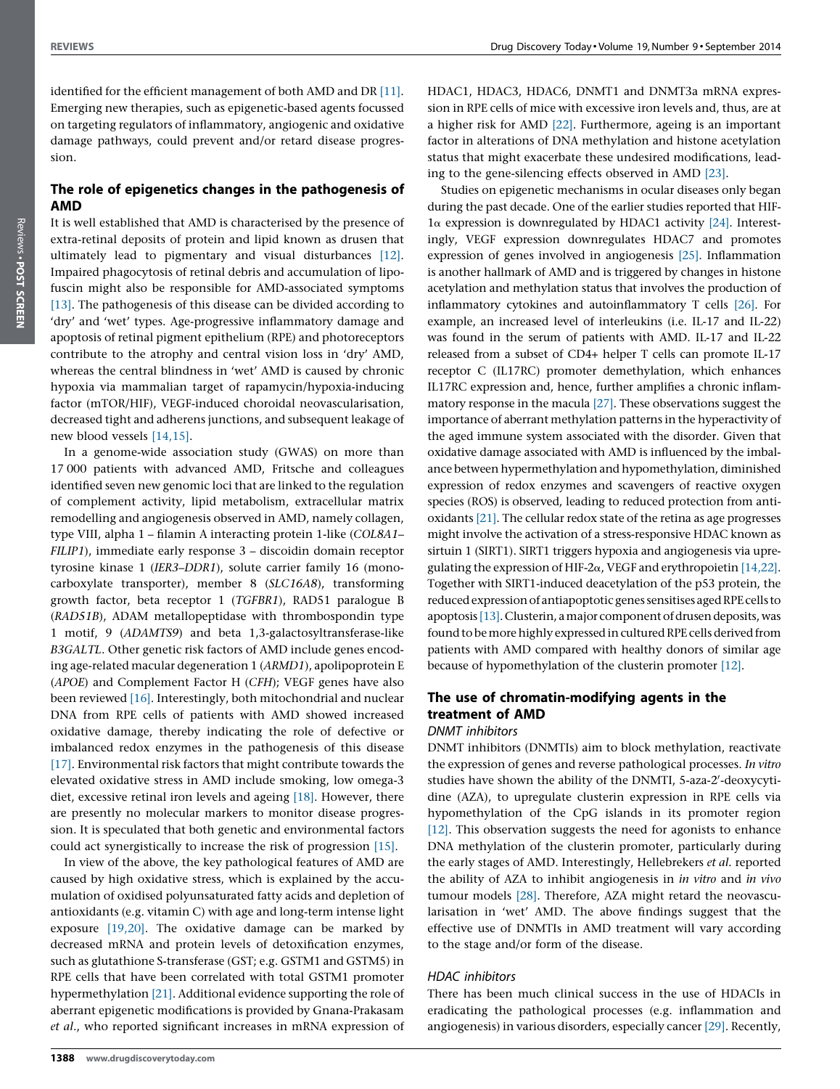identified for the efficient management of both AMD and DR [\[11\]](#page-5-0). Emerging new therapies, such as epigenetic-based agents focussed on targeting regulators of inflammatory, angiogenic and oxidative damage pathways, could prevent and/or retard disease progression.

# The role of epigenetics changes in the pathogenesis of AMD

It is well established that AMD is characterised by the presence of extra-retinal deposits of protein and lipid known as drusen that ultimately lead to pigmentary and visual disturbances [\[12\]](#page-5-0). Impaired phagocytosis of retinal debris and accumulation of lipofuscin might also be responsible for AMD-associated symptoms [\[13\]](#page-6-0). The pathogenesis of this disease can be divided according to 'dry' and 'wet' types. Age-progressive inflammatory damage and apoptosis of retinal pigment epithelium (RPE) and photoreceptors contribute to the atrophy and central vision loss in 'dry' AMD, whereas the central blindness in 'wet' AMD is caused by chronic hypoxia via mammalian target of rapamycin/hypoxia-inducing factor (mTOR/HIF), VEGF-induced choroidal neovascularisation, decreased tight and adherens junctions, and subsequent leakage of new blood vessels [\[14,15\]](#page-6-0).

In a genome-wide association study (GWAS) on more than 17 000 patients with advanced AMD, Fritsche and colleagues identified seven new genomic loci that are linked to the regulation of complement activity, lipid metabolism, extracellular matrix remodelling and angiogenesis observed in AMD, namely collagen, type VIII, alpha 1 – filamin A interacting protein 1-like (COL8A1– FILIP1), immediate early response 3 – discoidin domain receptor tyrosine kinase 1 (IER3–DDR1), solute carrier family 16 (monocarboxylate transporter), member 8 (SLC16A8), transforming growth factor, beta receptor 1 (TGFBR1), RAD51 paralogue B (RAD51B), ADAM metallopeptidase with thrombospondin type 1 motif, 9 (ADAMTS9) and beta 1,3-galactosyltransferase-like B3GALTL. Other genetic risk factors of AMD include genes encoding age-related macular degeneration 1 (ARMD1), apolipoprotein E (APOE) and Complement Factor H (CFH); VEGF genes have also been reviewed [\[16\]](#page-6-0). Interestingly, both mitochondrial and nuclear DNA from RPE cells of patients with AMD showed increased oxidative damage, thereby indicating the role of defective or imbalanced redox enzymes in the pathogenesis of this disease [\[17\]](#page-6-0). Environmental risk factors that might contribute towards the elevated oxidative stress in AMD include smoking, low omega-3 diet, excessive retinal iron levels and ageing [\[18\]](#page-6-0). However, there are presently no molecular markers to monitor disease progression. It is speculated that both genetic and environmental factors could act synergistically to increase the risk of progression [\[15\]](#page-6-0).

In view of the above, the key pathological features of AMD are caused by high oxidative stress, which is explained by the accumulation of oxidised polyunsaturated fatty acids and depletion of antioxidants (e.g. vitamin C) with age and long-term intense light exposure [\[19,20\].](#page-6-0) The oxidative damage can be marked by decreased mRNA and protein levels of detoxification enzymes, such as glutathione S-transferase (GST; e.g. GSTM1 and GSTM5) in RPE cells that have been correlated with total GSTM1 promoter hypermethylation [\[21\].](#page-6-0) Additional evidence supporting the role of aberrant epigenetic modifications is provided by Gnana-Prakasam et al., who reported significant increases in mRNA expression of HDAC1, HDAC3, HDAC6, DNMT1 and DNMT3a mRNA expression in RPE cells of mice with excessive iron levels and, thus, are at a higher risk for AMD [\[22\].](#page-6-0) Furthermore, ageing is an important factor in alterations of DNA methylation and histone acetylation status that might exacerbate these undesired modifications, leading to the gene-silencing effects observed in AMD [\[23\]](#page-6-0).

Studies on epigenetic mechanisms in ocular diseases only began during the past decade. One of the earlier studies reported that HIF- $1\alpha$  expression is downregulated by HDAC1 activity [\[24\]](#page-6-0). Interestingly, VEGF expression downregulates HDAC7 and promotes expression of genes involved in angiogenesis [\[25\].](#page-6-0) Inflammation is another hallmark of AMD and is triggered by changes in histone acetylation and methylation status that involves the production of inflammatory cytokines and autoinflammatory T cells [\[26\]](#page-6-0). For example, an increased level of interleukins (i.e. IL-17 and IL-22) was found in the serum of patients with AMD. IL-17 and IL-22 released from a subset of CD4+ helper T cells can promote IL-17 receptor C (IL17RC) promoter demethylation, which enhances IL17RC expression and, hence, further amplifies a chronic inflammatory response in the macula [\[27\]](#page-6-0). These observations suggest the importance of aberrant methylation patterns in the hyperactivity of the aged immune system associated with the disorder. Given that oxidative damage associated with AMD is influenced by the imbalance between hypermethylation and hypomethylation, diminished expression of redox enzymes and scavengers of reactive oxygen species (ROS) is observed, leading to reduced protection from antioxidants [\[21\]](#page-6-0). The cellular redox state of the retina as age progresses might involve the activation of a stress-responsive HDAC known as sirtuin 1 (SIRT1). SIRT1 triggers hypoxia and angiogenesis via upregulating the expression of HIF-2 $\alpha$ , VEGF and erythropoietin [\[14,22\]](#page-6-0). Together with SIRT1-induced deacetylation of the p53 protein, the reduced expression of antiapoptotic genes sensitises aged RPE cells to apoptosis [\[13\].](#page-6-0) Clusterin, a major component of drusen deposits, was found to be more highly expressed in cultured RPE cells derived from patients with AMD compared with healthy donors of similar age because of hypomethylation of the clusterin promoter [\[12\].](#page-5-0)

# The use of chromatin-modifying agents in the treatment of AMD

# DNMT inhibitors

DNMT inhibitors (DNMTIs) aim to block methylation, reactivate the expression of genes and reverse pathological processes. In vitro studies have shown the ability of the DNMTI, 5-aza-2'-deoxycytidine (AZA), to upregulate clusterin expression in RPE cells via hypomethylation of the CpG islands in its promoter region [\[12\]](#page-5-0). This observation suggests the need for agonists to enhance DNA methylation of the clusterin promoter, particularly during the early stages of AMD. Interestingly, Hellebrekers et al. reported the ability of AZA to inhibit angiogenesis in in vitro and in vivo tumour models [\[28\].](#page-6-0) Therefore, AZA might retard the neovascularisation in 'wet' AMD. The above findings suggest that the effective use of DNMTIs in AMD treatment will vary according to the stage and/or form of the disease.

## HDAC inhibitors

There has been much clinical success in the use of HDACIs in eradicating the pathological processes (e.g. inflammation and angiogenesis) in various disorders, especially cancer [\[29\]](#page-6-0). Recently,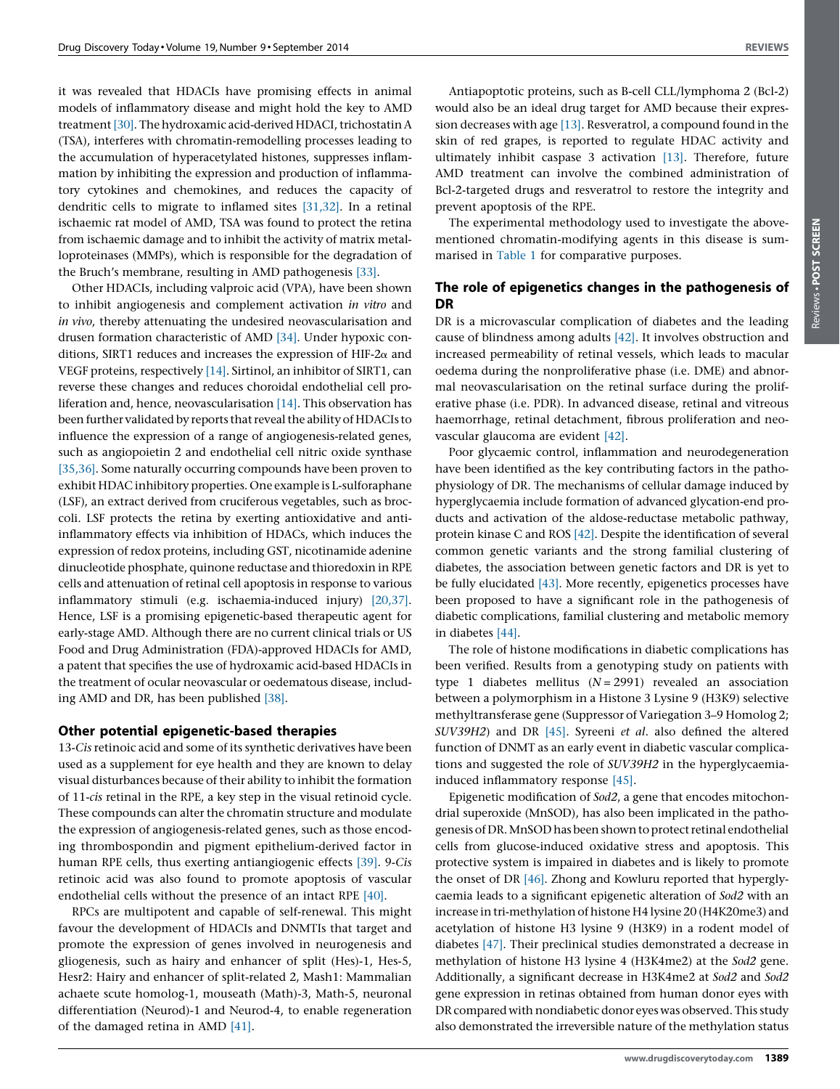it was revealed that HDACIs have promising effects in animal models of inflammatory disease and might hold the key to AMD treatment [\[30\].](#page-6-0) The hydroxamic acid-derived HDACI, trichostatin A (TSA), interferes with chromatin-remodelling processes leading to the accumulation of hyperacetylated histones, suppresses inflammation by inhibiting the expression and production of inflammatory cytokines and chemokines, and reduces the capacity of dendritic cells to migrate to inflamed sites [\[31,32\].](#page-6-0) In a retinal ischaemic rat model of AMD, TSA was found to protect the retina from ischaemic damage and to inhibit the activity of matrix metalloproteinases (MMPs), which is responsible for the degradation of the Bruch's membrane, resulting in AMD pathogenesis [\[33\].](#page-6-0)

Other HDACIs, including valproic acid (VPA), have been shown to inhibit angiogenesis and complement activation in vitro and in vivo, thereby attenuating the undesired neovascularisation and drusen formation characteristic of AMD [\[34\].](#page-6-0) Under hypoxic conditions, SIRT1 reduces and increases the expression of HIF-2 $\alpha$  and VEGF proteins, respectively [\[14\].](#page-6-0) Sirtinol, an inhibitor of SIRT1, can reverse these changes and reduces choroidal endothelial cell proliferation and, hence, neovascularisation [\[14\].](#page-6-0) This observation has been further validated by reports that reveal the ability of HDACIs to influence the expression of a range of angiogenesis-related genes, such as angiopoietin 2 and endothelial cell nitric oxide synthase [\[35,36\].](#page-6-0) Some naturally occurring compounds have been proven to exhibit HDAC inhibitory properties. One example is L-sulforaphane (LSF), an extract derived from cruciferous vegetables, such as broccoli. LSF protects the retina by exerting antioxidative and antiinflammatory effects via inhibition of HDACs, which induces the expression of redox proteins, including GST, nicotinamide adenine dinucleotide phosphate, quinone reductase and thioredoxin in RPE cells and attenuation of retinal cell apoptosis in response to various inflammatory stimuli (e.g. ischaemia-induced injury) [\[20,37\].](#page-6-0) Hence, LSF is a promising epigenetic-based therapeutic agent for early-stage AMD. Although there are no current clinical trials or US Food and Drug Administration (FDA)-approved HDACIs for AMD, a patent that specifies the use of hydroxamic acid-based HDACIs in the treatment of ocular neovascular or oedematous disease, including AMD and DR, has been published [\[38\].](#page-6-0)

#### Other potential epigenetic-based therapies

13-Cis retinoic acid and some of its synthetic derivatives have been used as a supplement for eye health and they are known to delay visual disturbances because of their ability to inhibit the formation of 11-cis retinal in the RPE, a key step in the visual retinoid cycle. These compounds can alter the chromatin structure and modulate the expression of angiogenesis-related genes, such as those encoding thrombospondin and pigment epithelium-derived factor in human RPE cells, thus exerting antiangiogenic effects [\[39\].](#page-6-0) 9-Cis retinoic acid was also found to promote apoptosis of vascular endothelial cells without the presence of an intact RPE [\[40\]](#page-6-0).

RPCs are multipotent and capable of self-renewal. This might favour the development of HDACIs and DNMTIs that target and promote the expression of genes involved in neurogenesis and gliogenesis, such as hairy and enhancer of split (Hes)-1, Hes-5, Hesr2: Hairy and enhancer of split-related 2, Mash1: Mammalian achaete scute homolog-1, mouseath (Math)-3, Math-5, neuronal differentiation (Neurod)-1 and Neurod-4, to enable regeneration of the damaged retina in AMD [\[41\]](#page-6-0).

Reviews -

Reviews . POST SCREEN POST SCREEN

Antiapoptotic proteins, such as B-cell CLL/lymphoma 2 (Bcl-2) would also be an ideal drug target for AMD because their expression decreases with age [\[13\]](#page-6-0). Resveratrol, a compound found in the skin of red grapes, is reported to regulate HDAC activity and ultimately inhibit caspase 3 activation [\[13\].](#page-6-0) Therefore, future AMD treatment can involve the combined administration of Bcl-2-targeted drugs and resveratrol to restore the integrity and prevent apoptosis of the RPE.

The experimental methodology used to investigate the abovementioned chromatin-modifying agents in this disease is summarised in [Table](#page-3-0) 1 for comparative purposes.

# The role of epigenetics changes in the pathogenesis of DR

DR is a microvascular complication of diabetes and the leading cause of blindness among adults [\[42\]](#page-6-0). It involves obstruction and increased permeability of retinal vessels, which leads to macular oedema during the nonproliferative phase (i.e. DME) and abnormal neovascularisation on the retinal surface during the proliferative phase (i.e. PDR). In advanced disease, retinal and vitreous haemorrhage, retinal detachment, fibrous proliferation and neovascular glaucoma are evident [\[42\].](#page-6-0)

Poor glycaemic control, inflammation and neurodegeneration have been identified as the key contributing factors in the pathophysiology of DR. The mechanisms of cellular damage induced by hyperglycaemia include formation of advanced glycation-end products and activation of the aldose-reductase metabolic pathway, protein kinase C and ROS [\[42\].](#page-6-0) Despite the identification of several common genetic variants and the strong familial clustering of diabetes, the association between genetic factors and DR is yet to be fully elucidated [\[43\].](#page-6-0) More recently, epigenetics processes have been proposed to have a significant role in the pathogenesis of diabetic complications, familial clustering and metabolic memory in diabetes [\[44\]](#page-6-0).

The role of histone modifications in diabetic complications has been verified. Results from a genotyping study on patients with type 1 diabetes mellitus  $(N = 2991)$  revealed an association between a polymorphism in a Histone 3 Lysine 9 (H3K9) selective methyltransferase gene (Suppressor of Variegation 3–9 Homolog 2; SUV39H2) and DR [\[45\].](#page-6-0) Syreeni et al. also defined the altered function of DNMT as an early event in diabetic vascular complications and suggested the role of SUV39H2 in the hyperglycaemiainduced inflammatory response [\[45\].](#page-6-0)

Epigenetic modification of Sod2, a gene that encodes mitochondrial superoxide (MnSOD), has also been implicated in the pathogenesis ofDR.MnSODhas beenshowntoprotectretinal endothelial cells from glucose-induced oxidative stress and apoptosis. This protective system is impaired in diabetes and is likely to promote the onset of DR [\[46\]](#page-6-0). Zhong and Kowluru reported that hyperglycaemia leads to a significant epigenetic alteration of Sod2 with an increase in tri-methylation of histone H4 lysine 20 (H4K20me3) and acetylation of histone H3 lysine 9 (H3K9) in a rodent model of diabetes [\[47\].](#page-6-0) Their preclinical studies demonstrated a decrease in methylation of histone H3 lysine 4 (H3K4me2) at the Sod2 gene. Additionally, a significant decrease in H3K4me2 at Sod2 and Sod2 gene expression in retinas obtained from human donor eyes with DR compared with nondiabetic donor eyes was observed. This study also demonstrated the irreversible nature of the methylation status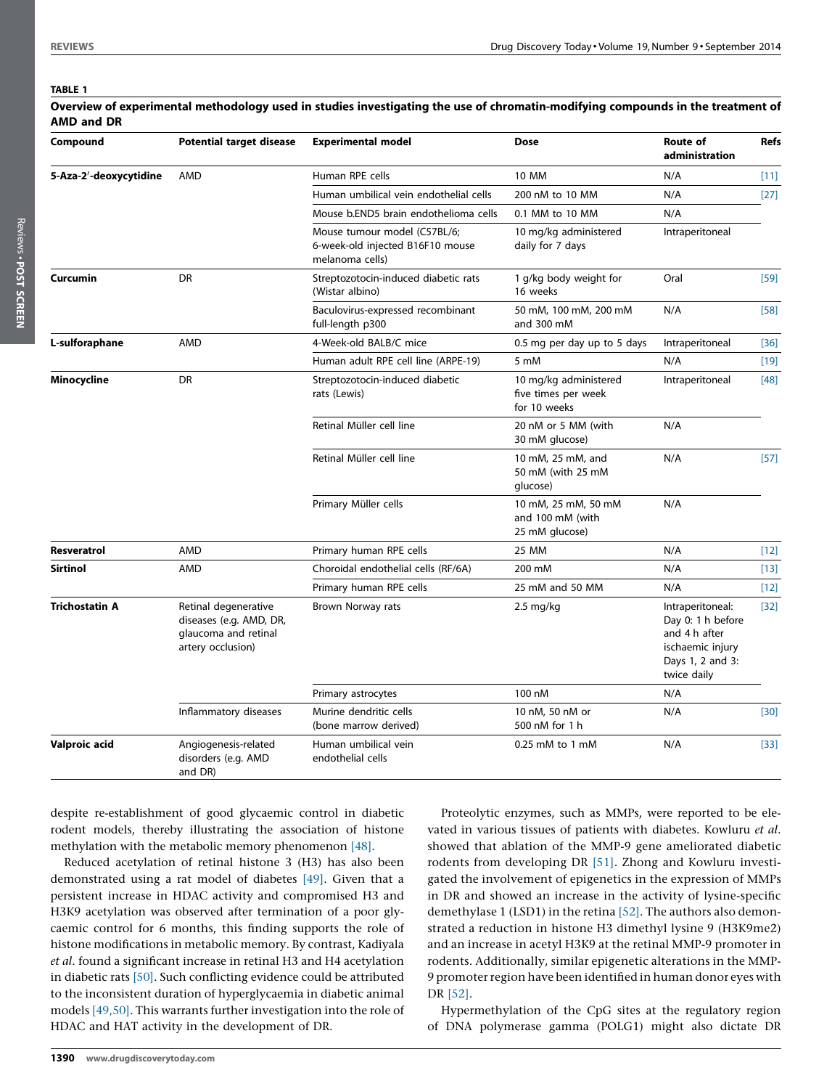#### <span id="page-3-0"></span>TABLE 1

| <b>AMD and DR</b>      |                                                                                              |                                                                                     |                                                              |                                                                                                               |             |
|------------------------|----------------------------------------------------------------------------------------------|-------------------------------------------------------------------------------------|--------------------------------------------------------------|---------------------------------------------------------------------------------------------------------------|-------------|
| Compound               | <b>Potential target disease</b>                                                              | <b>Experimental model</b>                                                           | <b>Dose</b>                                                  | Route of<br>administration                                                                                    | <b>Refs</b> |
| 5-Aza-2'-deoxycytidine | <b>AMD</b>                                                                                   | Human RPE cells                                                                     | <b>10 MM</b>                                                 | N/A                                                                                                           | [11]        |
|                        |                                                                                              | Human umbilical vein endothelial cells                                              | 200 nM to 10 MM                                              | N/A                                                                                                           | $[27]$      |
|                        |                                                                                              | Mouse b.END5 brain endothelioma cells                                               | 0.1 MM to 10 MM                                              | N/A                                                                                                           |             |
|                        |                                                                                              | Mouse tumour model (C57BL/6;<br>6-week-old injected B16F10 mouse<br>melanoma cells) | 10 mg/kg administered<br>daily for 7 days                    | Intraperitoneal                                                                                               |             |
| <b>Curcumin</b>        | DR                                                                                           | Streptozotocin-induced diabetic rats<br>(Wistar albino)                             | 1 g/kg body weight for<br>16 weeks                           | Oral                                                                                                          | $[59]$      |
|                        |                                                                                              | Baculovirus-expressed recombinant<br>full-length p300                               | 50 mM, 100 mM, 200 mM<br>and 300 mM                          | N/A                                                                                                           | $[58]$      |
| L-sulforaphane         | AMD                                                                                          | 4-Week-old BALB/C mice                                                              | 0.5 mg per day up to 5 days                                  | Intraperitoneal                                                                                               | $[36]$      |
|                        |                                                                                              | Human adult RPE cell line (ARPE-19)                                                 | 5 mM                                                         | N/A                                                                                                           | $[19]$      |
| Minocycline            | DR                                                                                           | Streptozotocin-induced diabetic<br>rats (Lewis)                                     | 10 mg/kg administered<br>five times per week<br>for 10 weeks | Intraperitoneal                                                                                               | [48]        |
|                        |                                                                                              | Retinal Müller cell line                                                            | 20 nM or 5 MM (with<br>30 mM glucose)                        | N/A                                                                                                           |             |
|                        |                                                                                              | Retinal Müller cell line                                                            | 10 mM, 25 mM, and<br>50 mM (with 25 mM<br>glucose)           | N/A                                                                                                           | $[57]$      |
|                        |                                                                                              | Primary Müller cells                                                                | 10 mM, 25 mM, 50 mM<br>and 100 mM (with<br>25 mM glucose)    | N/A                                                                                                           |             |
| Resveratrol            | AMD                                                                                          | Primary human RPE cells                                                             | 25 MM                                                        | N/A                                                                                                           | $[12]$      |
| <b>Sirtinol</b>        | <b>AMD</b>                                                                                   | Choroidal endothelial cells (RF/6A)                                                 | 200 mM                                                       | N/A                                                                                                           | $[13]$      |
|                        |                                                                                              | Primary human RPE cells                                                             | 25 mM and 50 MM                                              | N/A                                                                                                           | $[12]$      |
| <b>Trichostatin A</b>  | Retinal degenerative<br>diseases (e.g. AMD, DR,<br>glaucoma and retinal<br>artery occlusion) | Brown Norway rats                                                                   | $2.5 \text{ mg/kg}$                                          | Intraperitoneal:<br>Day 0: 1 h before<br>and 4 h after<br>ischaemic injury<br>Days 1, 2 and 3:<br>twice daily | $[32]$      |
|                        |                                                                                              | Primary astrocytes                                                                  | 100 nM                                                       | N/A                                                                                                           |             |
|                        | Inflammatory diseases                                                                        | Murine dendritic cells<br>(bone marrow derived)                                     | 10 nM, 50 nM or<br>500 nM for 1 h                            | N/A                                                                                                           | $[30]$      |
| Valproic acid          | Angiogenesis-related<br>disorders (e.g. AMD<br>and DR)                                       | Human umbilical vein<br>endothelial cells                                           | $0.25$ mM to 1 mM                                            | N/A                                                                                                           | $[33]$      |

Overview of experimental methodology used in studies investigating the use of chromatin-modifying compounds in the treatment of

despite re-establishment of good glycaemic control in diabetic rodent models, thereby illustrating the association of histone methylation with the metabolic memory phenomenon [\[48\]](#page-6-0).

Reduced acetylation of retinal histone 3 (H3) has also been demonstrated using a rat model of diabetes [\[49\]](#page-6-0). Given that a persistent increase in HDAC activity and compromised H3 and H3K9 acetylation was observed after termination of a poor glycaemic control for 6 months, this finding supports the role of histone modifications in metabolic memory. By contrast, Kadiyala et al. found a significant increase in retinal H3 and H4 acetylation in diabetic rats [\[50\]](#page-6-0). Such conflicting evidence could be attributed to the inconsistent duration of hyperglycaemia in diabetic animal models [\[49,50\].](#page-6-0) This warrants further investigation into the role of HDAC and HAT activity in the development of DR.

Proteolytic enzymes, such as MMPs, were reported to be elevated in various tissues of patients with diabetes. Kowluru et al. showed that ablation of the MMP-9 gene ameliorated diabetic rodents from developing DR [\[51\]](#page-6-0). Zhong and Kowluru investigated the involvement of epigenetics in the expression of MMPs in DR and showed an increase in the activity of lysine-specific demethylase 1 (LSD1) in the retina [\[52\].](#page-6-0) The authors also demonstrated a reduction in histone H3 dimethyl lysine 9 (H3K9me2) and an increase in acetyl H3K9 at the retinal MMP-9 promoter in rodents. Additionally, similar epigenetic alterations in the MMP-9 promoter region have been identified in human donor eyes with DR [\[52\]](#page-6-0).

Hypermethylation of the CpG sites at the regulatory region of DNA polymerase gamma (POLG1) might also dictate DR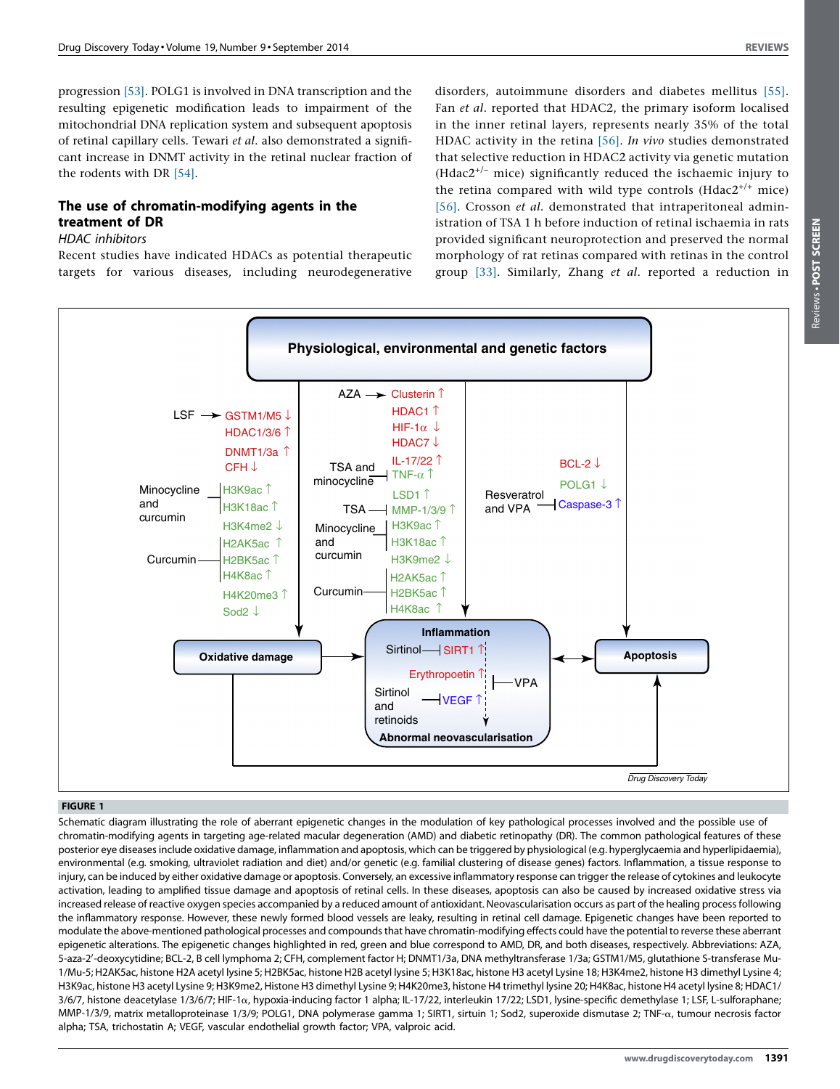Reviews -

Reviews . POST SCREEN POST SCREEN

<span id="page-4-0"></span>progression [\[53\].](#page-6-0) POLG1 is involved in DNA transcription and the resulting epigenetic modification leads to impairment of the mitochondrial DNA replication system and subsequent apoptosis of retinal capillary cells. Tewari et al. also demonstrated a significant increase in DNMT activity in the retinal nuclear fraction of the rodents with DR [\[54\]](#page-6-0).

# The use of chromatin-modifying agents in the treatment of DR

### HDAC inhibitors

Recent studies have indicated HDACs as potential therapeutic targets for various diseases, including neurodegenerative

disorders, autoimmune disorders and diabetes mellitus [\[55\].](#page-6-0) Fan et al. reported that HDAC2, the primary isoform localised in the inner retinal layers, represents nearly 35% of the total HDAC activity in the retina [\[56\]](#page-6-0). In vivo studies demonstrated that selective reduction in HDAC2 activity via genetic mutation  $(Hdac2^{+/}$  mice) significantly reduced the ischaemic injury to the retina compared with wild type controls ( $Hdac2^{+/+}$  mice) [\[56\]](#page-6-0). Crosson et al. demonstrated that intraperitoneal administration of TSA 1 h before induction of retinal ischaemia in rats provided significant neuroprotection and preserved the normal morphology of rat retinas compared with retinas in the control group [\[33\].](#page-6-0) Similarly, Zhang et al. reported a reduction in



#### FIGURE 1

Schematic diagram illustrating the role of aberrant epigenetic changes in the modulation of key pathological processes involved and the possible use of chromatin-modifying agents in targeting age-related macular degeneration (AMD) and diabetic retinopathy (DR). The common pathological features of these posterior eye diseasesinclude oxidative damage, inflammation and apoptosis, which can be triggered by physiological (e.g. hyperglycaemia and hyperlipidaemia), environmental (e.g. smoking, ultraviolet radiation and diet) and/or genetic (e.g. familial clustering of disease genes) factors. Inflammation, a tissue response to injury, can be induced by either oxidative damage or apoptosis. Conversely, an excessive inflammatory response can trigger the release of cytokines and leukocyte activation, leading to amplified tissue damage and apoptosis of retinal cells. In these diseases, apoptosis can also be caused by increased oxidative stress via increased release of reactive oxygen species accompanied by a reduced amount of antioxidant. Neovascularisation occurs as part of the healing processfollowing the inflammatory response. However, these newly formed blood vessels are leaky, resulting in retinal cell damage. Epigenetic changes have been reported to modulate the above-mentioned pathological processes and compoundsthat have chromatin-modifying effects could have the potential to reverse these aberrant epigenetic alterations. The epigenetic changes highlighted in red, green and blue correspond to AMD, DR, and both diseases, respectively. Abbreviations: AZA, 5-aza-2'-deoxycytidine; BCL-2, B cell lymphoma 2; CFH, complement factor H; DNMT1/3a, DNA methyltransferase 1/3a; GSTM1/M5, glutathione S-transferase Mu-1/Mu-5; H2AK5ac, histone H2A acetyl lysine 5; H2BK5ac, histone H2B acetyl lysine 5; H3K18ac, histone H3 acetyl Lysine 18; H3K4me2, histone H3 dimethyl Lysine 4; H3K9ac, histone H3 acetyl Lysine 9; H3K9me2, Histone H3 dimethyl Lysine 9; H4K20me3, histone H4 trimethyl lysine 20; H4K8ac, histone H4 acetyl lysine 8; HDAC1/  $3/6/7$ , histone deacetylase 1/3/6/7; HIF-1 $\alpha$ , hypoxia-inducing factor 1 alpha; IL-17/22, interleukin 17/22; LSD1, lysine-specific demethylase 1; LSF, L-sulforaphane; MMP-1/3/9, matrix metalloproteinase 1/3/9; POLG1, DNA polymerase gamma 1; SIRT1, sirtuin 1; Sod2, superoxide dismutase 2; TNF-a, tumour necrosis factor alpha; TSA, trichostatin A; VEGF, vascular endothelial growth factor; VPA, valproic acid.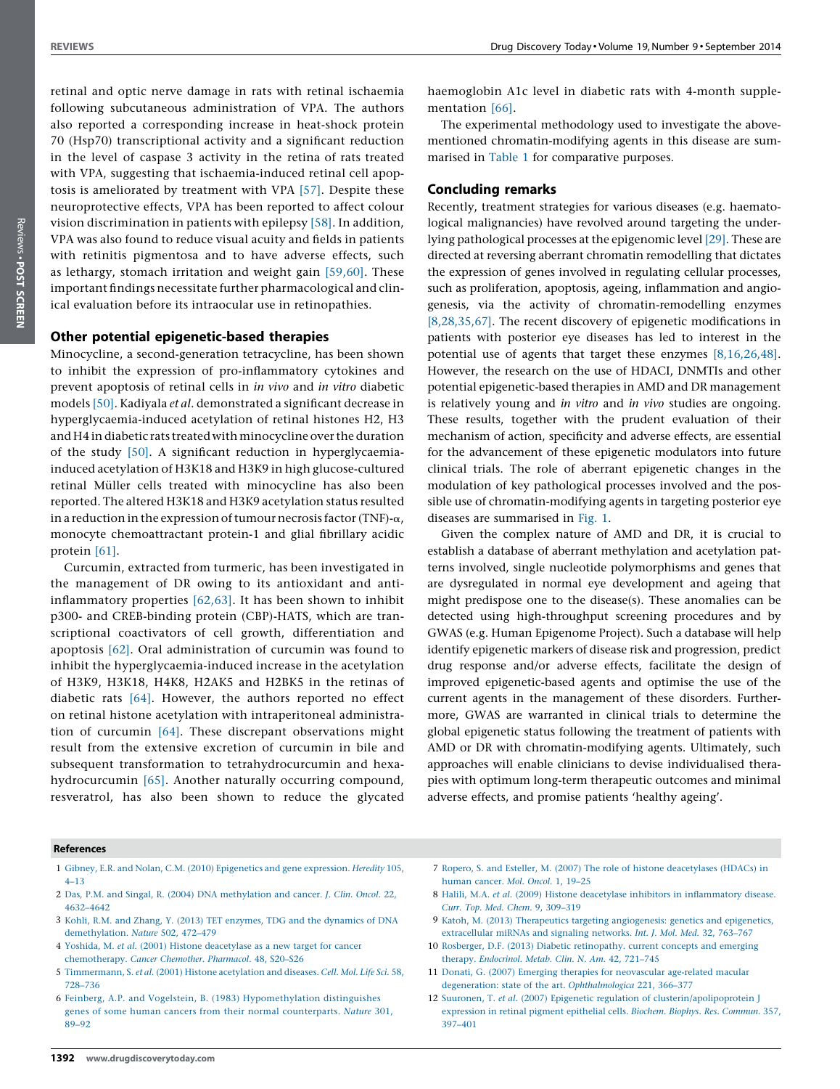<span id="page-5-0"></span>retinal and optic nerve damage in rats with retinal ischaemia following subcutaneous administration of VPA. The authors also reported a corresponding increase in heat-shock protein 70 (Hsp70) transcriptional activity and a significant reduction in the level of caspase 3 activity in the retina of rats treated with VPA, suggesting that ischaemia-induced retinal cell apoptosis is ameliorated by treatment with VPA [\[57\]](#page-6-0). Despite these neuroprotective effects, VPA has been reported to affect colour vision discrimination in patients with epilepsy [\[58\]](#page-6-0). In addition, VPA was also found to reduce visual acuity and fields in patients with retinitis pigmentosa and to have adverse effects, such as lethargy, stomach irritation and weight gain [\[59,60\].](#page-6-0) These important findings necessitate further pharmacological and clinical evaluation before its intraocular use in retinopathies.

## Other potential epigenetic-based therapies

Minocycline, a second-generation tetracycline, has been shown to inhibit the expression of pro-inflammatory cytokines and prevent apoptosis of retinal cells in in vivo and in vitro diabetic models [\[50\]](#page-6-0). Kadiyala et al. demonstrated a significant decrease in hyperglycaemia-induced acetylation of retinal histones H2, H3 and H4 in diabetic rats treated with minocycline over the duration of the study [\[50\].](#page-6-0) A significant reduction in hyperglycaemiainduced acetylation of H3K18 and H3K9 in high glucose-cultured retinal Müller cells treated with minocycline has also been reported. The altered H3K18 and H3K9 acetylation status resulted in a reduction in the expression of tumour necrosis factor (TNF)- $\alpha$ , monocyte chemoattractant protein-1 and glial fibrillary acidic protein [\[61\].](#page-6-0)

Curcumin, extracted from turmeric, has been investigated in the management of DR owing to its antioxidant and antiinflammatory properties [\[62,63\]](#page-6-0). It has been shown to inhibit p300- and CREB-binding protein (CBP)-HATS, which are transcriptional coactivators of cell growth, differentiation and apoptosis [\[62\].](#page-6-0) Oral administration of curcumin was found to inhibit the hyperglycaemia-induced increase in the acetylation of H3K9, H3K18, H4K8, H2AK5 and H2BK5 in the retinas of diabetic rats [\[64\]](#page-6-0). However, the authors reported no effect on retinal histone acetylation with intraperitoneal administration of curcumin [\[64\]](#page-6-0). These discrepant observations might result from the extensive excretion of curcumin in bile and subsequent transformation to tetrahydrocurcumin and hexahydrocurcumin [\[65\].](#page-6-0) Another naturally occurring compound, resveratrol, has also been shown to reduce the glycated

haemoglobin A1c level in diabetic rats with 4-month supplementation [\[66\]](#page-6-0).

The experimental methodology used to investigate the abovementioned chromatin-modifying agents in this disease are summarised in [Table](#page-3-0) 1 for comparative purposes.

#### Concluding remarks

Recently, treatment strategies for various diseases (e.g. haematological malignancies) have revolved around targeting the underlying pathological processes at the epigenomic level [\[29\].](#page-6-0) These are directed at reversing aberrant chromatin remodelling that dictates the expression of genes involved in regulating cellular processes, such as proliferation, apoptosis, ageing, inflammation and angiogenesis, via the activity of chromatin-remodelling enzymes [8,28,35,67]. The recent discovery of epigenetic modifications in patients with posterior eye diseases has led to interest in the potential use of agents that target these enzymes [8,16,26,48]. However, the research on the use of HDACI, DNMTIs and other potential epigenetic-based therapies in AMD and DR management is relatively young and in vitro and in vivo studies are ongoing. These results, together with the prudent evaluation of their mechanism of action, specificity and adverse effects, are essential for the advancement of these epigenetic modulators into future clinical trials. The role of aberrant epigenetic changes in the modulation of key pathological processes involved and the possible use of chromatin-modifying agents in targeting posterior eye diseases are summarised in [Fig.](#page-4-0) 1.

Given the complex nature of AMD and DR, it is crucial to establish a database of aberrant methylation and acetylation patterns involved, single nucleotide polymorphisms and genes that are dysregulated in normal eye development and ageing that might predispose one to the disease(s). These anomalies can be detected using high-throughput screening procedures and by GWAS (e.g. Human Epigenome Project). Such a database will help identify epigenetic markers of disease risk and progression, predict drug response and/or adverse effects, facilitate the design of improved epigenetic-based agents and optimise the use of the current agents in the management of these disorders. Furthermore, GWAS are warranted in clinical trials to determine the global epigenetic status following the treatment of patients with AMD or DR with chromatin-modifying agents. Ultimately, such approaches will enable clinicians to devise individualised therapies with optimum long-term therapeutic outcomes and minimal adverse effects, and promise patients 'healthy ageing'.

#### References

- 1 Gibney, E.R. and Nolan, C.M. (2010) [Epigenetics](http://refhub.elsevier.com/S1359-6446(14)00120-2/sbref0005) and gene expression. Heredity 105, [4–13](http://refhub.elsevier.com/S1359-6446(14)00120-2/sbref0005)
- 2 Das, P.M. and Singal, R. (2004) DNA [methylation](http://refhub.elsevier.com/S1359-6446(14)00120-2/sbref0010) and cancer. J. Clin. Oncol. 22, [4632–4642](http://refhub.elsevier.com/S1359-6446(14)00120-2/sbref0010)
- 3 Kohli, R.M. and Zhang, Y. (2013) TET enzymes, TDG and the [dynamics](http://refhub.elsevier.com/S1359-6446(14)00120-2/sbref0015) of DNA [demethylation.](http://refhub.elsevier.com/S1359-6446(14)00120-2/sbref0015) Nature 502, 472–479
- 4 Yoshida, M. et al. (2001) Histone [deacetylase](http://refhub.elsevier.com/S1359-6446(14)00120-2/sbref0020) as a new target for cancer [chemotherapy.](http://refhub.elsevier.com/S1359-6446(14)00120-2/sbref0020) Cancer Chemother. Pharmacol. 48, S20–S26
- 5 [Timmermann,](http://refhub.elsevier.com/S1359-6446(14)00120-2/sbref0025) S. et al. (2001) Histone acetylation and diseases. Cell. Mol. Life Sci. 58, [728–736](http://refhub.elsevier.com/S1359-6446(14)00120-2/sbref0025)
- 6 Feinberg, A.P. and Vogelstein, B. (1983) [Hypomethylation](http://refhub.elsevier.com/S1359-6446(14)00120-2/sbref0030) distinguishes genes of some human cancers from their normal [counterparts.](http://refhub.elsevier.com/S1359-6446(14)00120-2/sbref0030) Nature 301, [89–92](http://refhub.elsevier.com/S1359-6446(14)00120-2/sbref0030)
- 7 Ropero, S. and Esteller, M. (2007) The role of histone [deacetylases](http://refhub.elsevier.com/S1359-6446(14)00120-2/sbref0035) (HDACs) in [human](http://refhub.elsevier.com/S1359-6446(14)00120-2/sbref0035) cancer. Mol. Oncol. 1, 19–25
- 8 Halili, M.A. et al. (2009) Histone deacetylase inhibitors in [inflammatory](http://refhub.elsevier.com/S1359-6446(14)00120-2/sbref0040) disease. Curr. Top. Med. Chem. 9, [309–319](http://refhub.elsevier.com/S1359-6446(14)00120-2/sbref0040)
- 9 Katoh, M. (2013) Therapeutics targeting [angiogenesis:](http://refhub.elsevier.com/S1359-6446(14)00120-2/sbref0045) genetics and epigenetics, [extracellular](http://refhub.elsevier.com/S1359-6446(14)00120-2/sbref0045) miRNAs and signaling networks. Int. J. Mol. Med. 32, 763–767
- 10 Rosberger, D.F. (2013) Diabetic [retinopathy.](http://refhub.elsevier.com/S1359-6446(14)00120-2/sbref0050) current concepts and emerging therapy. [Endocrinol.](http://refhub.elsevier.com/S1359-6446(14)00120-2/sbref0050) Metab. Clin. N. Am. 42, 721–745
- 11 Donati, G. (2007) Emerging therapies for [neovascular](http://refhub.elsevier.com/S1359-6446(14)00120-2/sbref0055) age-related macular degeneration: state of the art. [Ophthalmologica](http://refhub.elsevier.com/S1359-6446(14)00120-2/sbref0055) 221, 366–377
- 12 Suuronen, T. et al. (2007) Epigenetic regulation of [clusterin/apolipoprotein](http://refhub.elsevier.com/S1359-6446(14)00120-2/sbref0060) J [expression](http://refhub.elsevier.com/S1359-6446(14)00120-2/sbref0060) in retinal pigment epithelial cells. Biochem. Biophys. Res. Commun. 357, [397–401](http://refhub.elsevier.com/S1359-6446(14)00120-2/sbref0060)